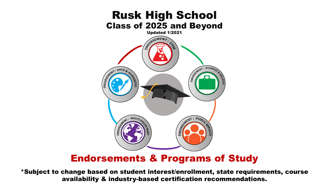

# Endorsements & Programs of Study

\*Subject to change based on student interest/enrollment, state requirements, course availability & industry-based certification recommendations.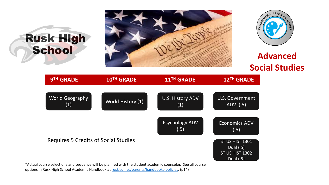





# **Social Studies**

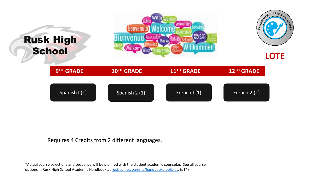

#### Requires 4 Credits from 2 different languages.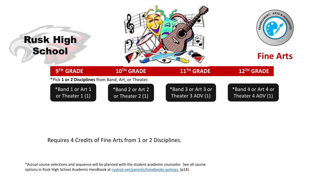

Requires 4 Credits of Fine Arts from 1 or 2 Disciplines.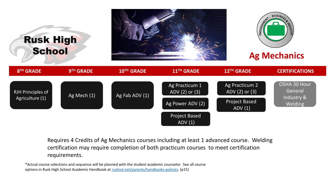

Requires 4 Credits of Ag Mechanics courses including at least 1 advanced course. Welding certification may require completion of both practicum courses to meet certification requirements.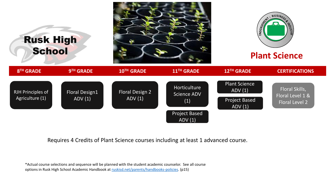

Requires 4 Credits of Plant Science courses including at least 1 advanced course.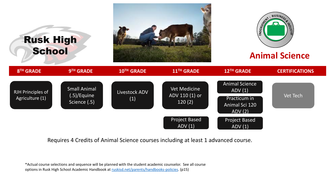

Requires 4 Credits of Animal Science courses including at least 1 advanced course.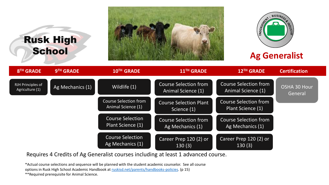# Rusk High **School**





# **Ag Generalist**



Requires 4 Credits of Ag Generalist courses including at least 1 advanced course.

\*Actual course selections and sequence will be planned with the student academic counselor. See all course options in Rusk High School Academic Handbook at [ruskisd.net/parents/handbooks-policies.](https://www.ruskisd.net/uploaded/Rusk_ISD/Departments/Curriculum_and_Instruction/Procedures/0_RHS_Academic_Handbook_1.27.2021.pdf) (p 15)

\*\*Required prerequisite for Animal Science.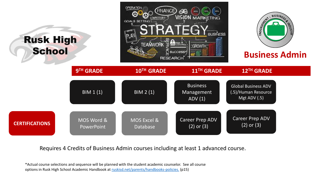

Requires 4 Credits of Business Admin courses including at least 1 advanced course.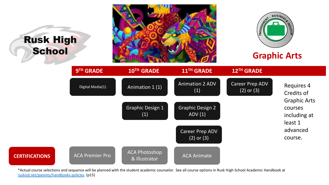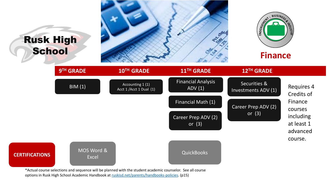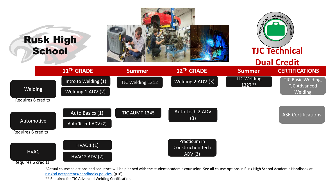

\*Actual course selections and sequence will be planned with the student academic counselor. See all course options in Rusk High School Academic Handbook at [ruskisd.net/parents/handbooks-policies.](https://www.ruskisd.net/uploaded/Rusk_ISD/Departments/Curriculum_and_Instruction/Procedures/0_RHS_Academic_Handbook_1.27.2021.pdf) (p16)

\*\* Required for TJC Advanced Welding Certification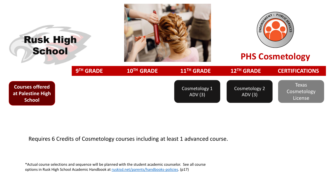

Requires 6 Credits of Cosmetology courses including at least 1 advanced course.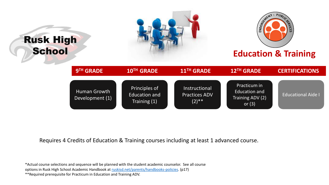

Requires 4 Credits of Education & Training courses including at least 1 advanced course.

\*Actual course selections and sequence will be planned with the student academic counselor. See all course

options in Rusk High School Academic Handbook at [ruskisd.net/parents/handbooks-policies.](https://www.ruskisd.net/uploaded/Rusk_ISD/Departments/Curriculum_and_Instruction/Procedures/0_RHS_Academic_Handbook_1.27.2021.pdf) (p17)

\*\*Required prerequisite for Practicum in Education and Training ADV.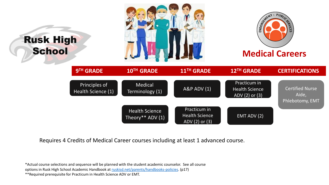

Requires 4 Credits of Medical Career courses including at least 1 advanced course.

\*Actual course selections and sequence will be planned with the student academic counselor. See all course

options in Rusk High School Academic Handbook at [ruskisd.net/parents/handbooks-policies.](https://www.ruskisd.net/uploaded/Rusk_ISD/Departments/Curriculum_and_Instruction/Procedures/0_RHS_Academic_Handbook_1.27.2021.pdf) (p17)

\*\*Required prerequisite for Practicum in Health Science ADV or EMT.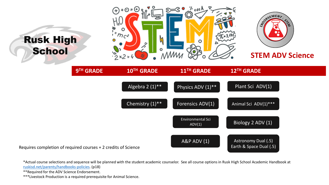

\*Actual course selections and sequence will be planned with the student academic counselor. See all course options in Rusk High School Academic Handbook at [ruskisd.net/parents/handbooks-policies.](https://www.ruskisd.net/uploaded/Rusk_ISD/Departments/Curriculum_and_Instruction/Procedures/0_RHS_Academic_Handbook_1.27.2021.pdf) (p18)

\*\*Required for the ADV Science Endorsement.

\*\*\*Livestock Production is a required prerequisite for Animal Science.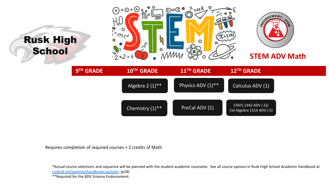

Requires completion of required courses + 2 credits of Math

\*Actual course selections and sequence will be planned with the student academic counselor. See all course options in Rusk High School Academic Handbook at [ruskisd.net/parents/handbooks-policies](https://www.ruskisd.net/uploaded/Rusk_ISD/Departments/Curriculum_and_Instruction/Procedures/0_RHS_Academic_Handbook_1.27.2021.pdf). (p18)

\*\*Required for the ADV Science Endorsement.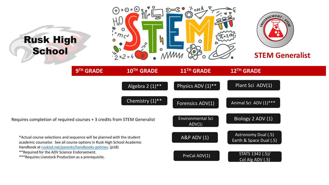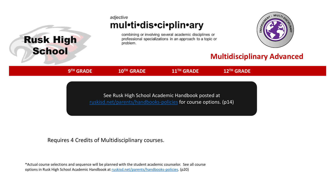### adjective mul•ti•dis•ci•plin•ary

combining or involving several academic disciplines or professional specializations in an approach to a topic or problem.



## **Multidisciplinary Advanced**

 $9<sup>TH</sup>$  GRADE

Rusk High

**School** 

**TH GRADE 10TH GRADE 11TH GRADE 12TH GRADE**

See Rusk High School Academic Handbook posted at [ruskisd.net/parents/handbooks-policies](https://www.ruskisd.net/uploaded/Rusk_High_School/Student_Academics/RHS_Academic_Handbook/0_RHS_Academic_Handbook_1.2021.pdf) for course options. (p14)

#### Requires 4 Credits of Multidisciplinary courses.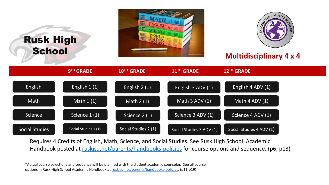| <b>Rusk High</b><br>School |                      | 智能<br><b>ENGLISH</b><br>纙<br>isboutamatricom |                          | <b>Multidisciplinary 4 x 4</b> |  |
|----------------------------|----------------------|----------------------------------------------|--------------------------|--------------------------------|--|
|                            | 9TH GRADE            | 10TH GRADE                                   | 11 <sup>TH</sup> GRADE   | 12TH GRADE                     |  |
| English                    | English 1 (1)        | English $2(1)$                               | English 3 ADV (1)        | English 4 ADV (1)              |  |
| Math                       | Math $1(1)$          | Math $2(1)$                                  | Math $3$ ADV $(1)$       | Math 4 ADV (1)                 |  |
| Science                    | Science 1 (1)        | Science 2 (1)                                | Science 3 ADV (1)        | Science 4 ADV (1)              |  |
| <b>Social Studies</b>      | Social Studies 1 (1) | Social Studies 2 (1)                         | Social Studies 3 ADV (1) | Social Studies 4 ADV (1)       |  |

Requires 4 Credits of English, Math, Science, and Social Studies. See Rusk High School Academic Handbook posted at [ruskisd.net/parents/handbooks-policies](https://www.ruskisd.net/uploaded/Rusk_High_School/Student_Academics/RHS_Academic_Handbook/0_RHS_Academic_Handbook_1.2021.pdf) for course options and sequence. (p6, p13)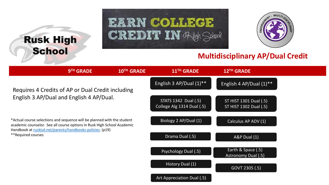# Rusk High **School**





### **Multidisciplinary AP/Dual Credit**

|                                                                                                                                                                                                                 | 9 <sup>TH</sup> GRADE | 10TH GRADE | 11 <sup>TH</sup> GRADE                             | 12 <sup>TH</sup> GRADE                           |  |
|-----------------------------------------------------------------------------------------------------------------------------------------------------------------------------------------------------------------|-----------------------|------------|----------------------------------------------------|--------------------------------------------------|--|
| Requires 4 Credits of AP or Dual Credit including                                                                                                                                                               |                       |            | English 3 AP/Dual $(1)$ <sup>**</sup>              | English 4 AP/Dual $(1)$ <sup>**</sup>            |  |
| English 3 AP/Dual and English 4 AP/Dual.                                                                                                                                                                        |                       |            | STATS 1342 Dual (.5)<br>College Alg 1314 Dual (.5) | ST HIST 1301 Dual (.5)<br>ST HIST 1302 Dual (.5) |  |
| *Actual course selections and sequence will be planned with the student<br>academic counselor. See all course options in Rusk High School Academic<br>Handbook at ruskisd.net/parents/handbooks-policies. (p19) |                       |            | Biology 2 AP/Dual (1)                              | Calculus AP ADV (1)                              |  |
| **Required courses                                                                                                                                                                                              |                       |            | Drama Dual (.5)                                    | A&P Dual (1)                                     |  |
|                                                                                                                                                                                                                 |                       |            | Psychology Dual (.5)                               | Earth & Space (.5)<br>Astronomy Dual (.5)        |  |
|                                                                                                                                                                                                                 |                       |            | History Dual (1)                                   | GOVT 2305 (.5)                                   |  |
|                                                                                                                                                                                                                 |                       |            | Art Appreciation Dual (.5)                         |                                                  |  |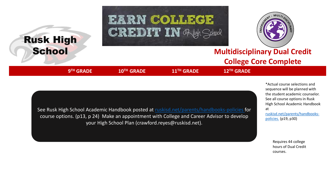



# **Multidisciplinary Dual Credit College Core Complete**

 $9<sup>TH</sup>$  GRADE

Rusk High

**School** 

**TH GRADE 10TH GRADE 11TH GRADE 12TH GRADE**

\*Actual course selections and sequence will be planned with the student academic counselor. See all course options in Rusk High School Academic Handbook at [ruskisd.net/parents/handbooks-](https://www.ruskisd.net/uploaded/Rusk_ISD/Departments/Curriculum_and_Instruction/Procedures/0_RHS_Academic_Handbook_1.27.2021.pdf)

See Rusk High School Academic Handbook posted at [ruskisd.net/parents/handbooks-policies](https://www.ruskisd.net/uploaded/Rusk_ISD/Departments/Curriculum_and_Instruction/Procedures/0_RHS_Academic_Handbook_1.27.2021.pdf) for course options. (p13, p 24) Make an appointment with College and Career Advisor to develop your High School Plan (crawford.reyes@ruskisd.net).

> Requires 44 college hours of Dual Credit courses.

policies. (p19, p30)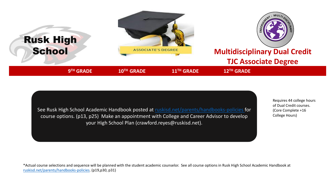



Requires 44 college hours of Dual Credit courses. (Core Complete +16 College Hours)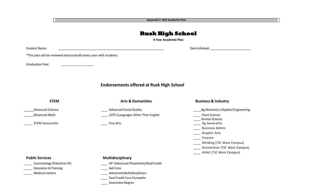**Appendix F: RHS Academic Plan**

#### **Rusk High School**

**4 Year Academic Plan**

Student Name: Date Initiated:

\*This plan will be reviewed electronically every year with students.

Graduation Year:

**Endorsements offered at Rusk High School**

**STEM Arts & Humanities Business & Industry** \_\_\_\_\_ Advanced Science Advanced Social Studies Ag Mechanics (Applied Engineering Advanced Math **Lotter Communist Communist Communist Communist Communist Communist Communist Communist Communist Communist Communist Communist Communist Communist Communist Communist Communist Communist Communist Communist** \_\_\_\_ Animal Science STEM Generalist **Fine Arts** Fine Arts **Fine Arts** Ag Generalist **Fine Arts** Ag Generalist Business Admin Craphic Arts \_\_\_\_ Finance **Welding (TJC West Campus) Lace 2018** Automotive (TJC West Campus) **Lackson** HVAC (TJC West Campus) **Public Services Multidisciplinary** Cosmetology (Palestine HS) AP (Advanced Placement)/Dual Credit

Education & Training and Training 120 and 120 and 130 and 130 and 130 and 130 and 130 and 130 and 130 and 130 and 130 and 130 and 130 and 130 and 130 and 130 and 130 and 130 and 130 and 130 and 130 and 130 and 130 and 130

Medical Careers **Advanced Multidisciplinary** Medical Careers

Dual Credit Core Complete

Associates Degree